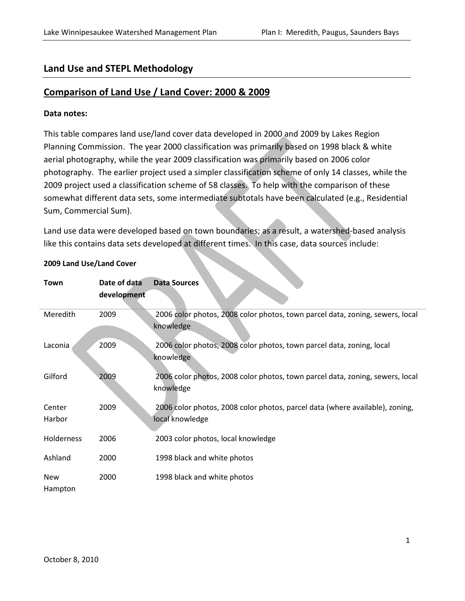# Land Use and STEPL Methodology

# Comparison of Land Use / Land Cover: 2000 & 2009

### Data notes:

This table compares land use/land cover data developed in 2000 and 2009 by Lakes Region Planning Commission. The year 2000 classification was primarily based on 1998 black & white aerial photography, while the year 2009 classification was primarily based on 2006 color photography. The earlier project used a simpler classification scheme of only 14 classes, while the 2009 project used a classification scheme of 58 classes. To help with the comparison of these somewhat different data sets, some intermediate subtotals have been calculated (e.g., Residential Sum, Commercial Sum).

Land use data were developed based on town boundaries; as a result, a watershed-based analysis like this contains data sets developed at different times. In this case, data sources include:

| Town             | Date of data | <b>Data Sources</b>                                                                             |
|------------------|--------------|-------------------------------------------------------------------------------------------------|
|                  | development  |                                                                                                 |
| Meredith         | 2009         | 2006 color photos, 2008 color photos, town parcel data, zoning, sewers, local<br>knowledge      |
| Laconia          | 2009         | 2006 color photos, 2008 color photos, town parcel data, zoning, local<br>knowledge              |
| Gilford          | 2009         | 2006 color photos, 2008 color photos, town parcel data, zoning, sewers, local<br>knowledge      |
| Center<br>Harbor | 2009         | 2006 color photos, 2008 color photos, parcel data (where available), zoning,<br>local knowledge |
| Holderness       | 2006         | 2003 color photos, local knowledge                                                              |
| Ashland          | 2000         | 1998 black and white photos                                                                     |
| New<br>Hampton   | 2000         | 1998 black and white photos                                                                     |

### 2009 Land Use/Land Cover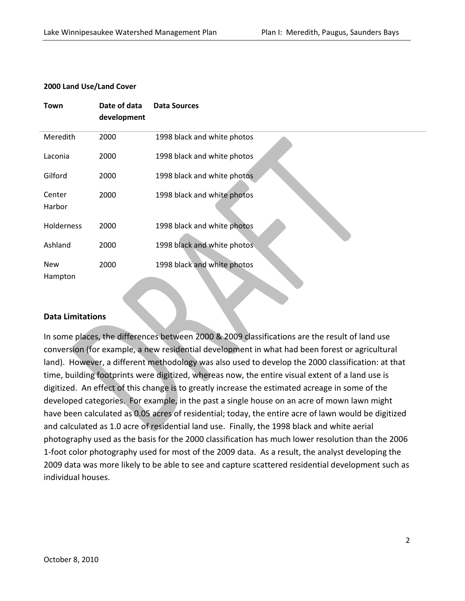#### 2000 Land Use/Land Cover

| Town              | Date of data<br>development | <b>Data Sources</b>         |
|-------------------|-----------------------------|-----------------------------|
| Meredith          | 2000                        | 1998 black and white photos |
| Laconia           | 2000                        | 1998 black and white photos |
| Gilford           | 2000                        | 1998 black and white photos |
| Center<br>Harbor  | 2000                        | 1998 black and white photos |
| <b>Holderness</b> | 2000                        | 1998 black and white photos |
| Ashland           | 2000                        | 1998 black and white photos |
| New<br>Hampton    | 2000                        | 1998 black and white photos |

#### Data Limitations

In some places, the differences between 2000 & 2009 classifications are the result of land use conversion (for example, a new residential development in what had been forest or agricultural land). However, a different methodology was also used to develop the 2000 classification: at that time, building footprints were digitized, whereas now, the entire visual extent of a land use is digitized. An effect of this change is to greatly increase the estimated acreage in some of the developed categories. For example, in the past a single house on an acre of mown lawn might have been calculated as 0.05 acres of residential; today, the entire acre of lawn would be digitized and calculated as 1.0 acre of residential land use. Finally, the 1998 black and white aerial photography used as the basis for the 2000 classification has much lower resolution than the 2006 1-foot color photography used for most of the 2009 data. As a result, the analyst developing the 2009 data was more likely to be able to see and capture scattered residential development such as individual houses.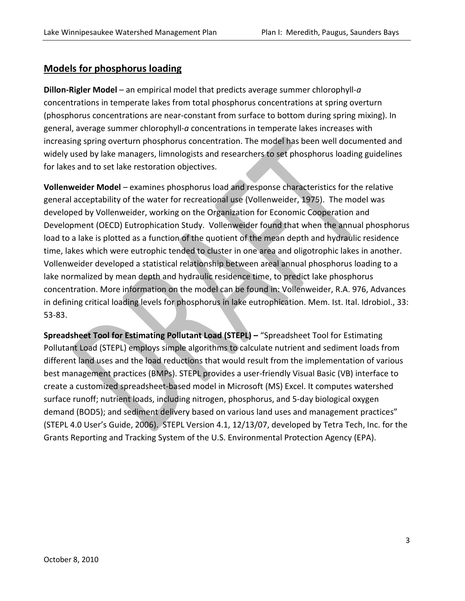## Models for phosphorus loading

**Dillon-Rigler Model** – an empirical model that predicts average summer chlorophyll- $a$ concentrations in temperate lakes from total phosphorus concentrations at spring overturn (phosphorus concentrations are near-constant from surface to bottom during spring mixing). In general, average summer chlorophyll-a concentrations in temperate lakes increases with increasing spring overturn phosphorus concentration. The model has been well documented and widely used by lake managers, limnologists and researchers to set phosphorus loading guidelines for lakes and to set lake restoration objectives.

Vollenweider Model – examines phosphorus load and response characteristics for the relative general acceptability of the water for recreational use (Vollenweider, 1975). The model was developed by Vollenweider, working on the Organization for Economic Cooperation and Development (OECD) Eutrophication Study. Vollenweider found that when the annual phosphorus load to a lake is plotted as a function of the quotient of the mean depth and hydraulic residence time, lakes which were eutrophic tended to cluster in one area and oligotrophic lakes in another. Vollenweider developed a statistical relationship between areal annual phosphorus loading to a lake normalized by mean depth and hydraulic residence time, to predict lake phosphorus concentration. More information on the model can be found in: Vollenweider, R.A. 976, Advances in defining critical loading levels for phosphorus in lake eutrophication. Mem. Ist. Ital. Idrobiol., 33: 53-83.

Spreadsheet Tool for Estimating Pollutant Load (STEPL) - "Spreadsheet Tool for Estimating Pollutant Load (STEPL) employs simple algorithms to calculate nutrient and sediment loads from different land uses and the load reductions that would result from the implementation of various best management practices (BMPs). STEPL provides a user-friendly Visual Basic (VB) interface to create a customized spreadsheet-based model in Microsoft (MS) Excel. It computes watershed surface runoff; nutrient loads, including nitrogen, phosphorus, and 5-day biological oxygen demand (BOD5); and sediment delivery based on various land uses and management practices" (STEPL 4.0 User's Guide, 2006). STEPL Version 4.1, 12/13/07, developed by Tetra Tech, Inc. for the Grants Reporting and Tracking System of the U.S. Environmental Protection Agency (EPA).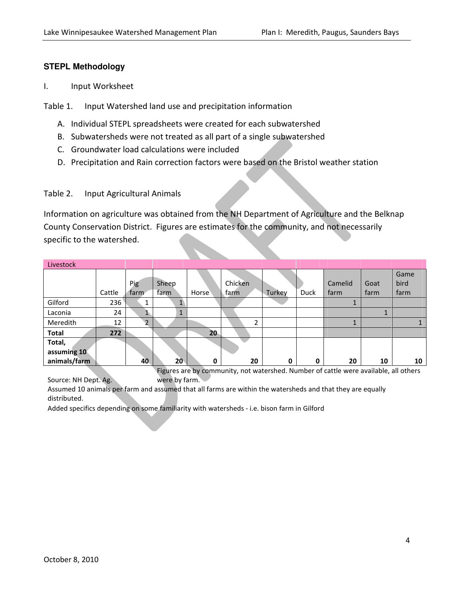### **STEPL Methodology**

I. Input Worksheet

Table 1. Input Watershed land use and precipitation information

- A. Individual STEPL spreadsheets were created for each subwatershed
- B. Subwatersheds were not treated as all part of a single subwatershed
- C. Groundwater load calculations were included
- D. Precipitation and Rain correction factors were based on the Bristol weather station

### Table 2. Input Agricultural Animals

Information on agriculture was obtained from the NH Department of Agriculture and the Belknap County Conservation District. Figures are estimates for the community, and not necessarily specific to the watershed.

| Livestock    |        |                |                  |        |         |        |      |         |      |      |
|--------------|--------|----------------|------------------|--------|---------|--------|------|---------|------|------|
|              |        |                |                  |        |         |        |      |         |      | Game |
|              |        | Pig            | Sheep            |        | Chicken |        |      | Camelid | Goat | bird |
|              | Cattle | farm           | farm             | Horse  | farm    | Turkey | Duck | farm    | farm | farm |
| Gilford      | 236    |                | r                |        |         |        |      |         |      |      |
| Laconia      | 24     | r              | $\blacktriangle$ |        |         |        |      |         |      |      |
| Meredith     | 12     | $\overline{2}$ |                  |        | ┑       |        |      |         |      |      |
| <b>Total</b> | 272    |                |                  | $20 -$ |         |        |      |         |      |      |
| Total,       |        |                |                  |        | ═       |        |      |         |      |      |
| assuming 10  |        |                |                  |        |         |        |      |         |      |      |
| animals/farm |        | 40             | 20 <sup>2</sup>  | 0      | 20      | 0      | 0    | 20      | 10   | 10   |

Figures are by community, not watershed. Number of cattle were available, all others were by farm.

Assumed 10 animals per farm and assumed that all farms are within the watersheds and that they are equally distributed.

Added specifics depending on some familiarity with watersheds - i.e. bison farm in Gilford

Source: NH Dept. Ag.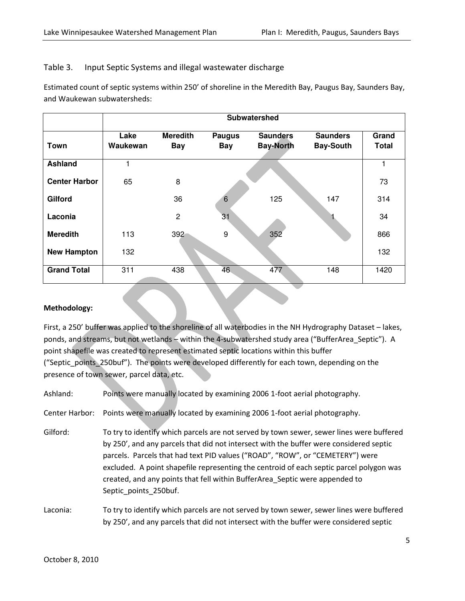### Table 3. Input Septic Systems and illegal wastewater discharge

Estimated count of septic systems within 250' of shoreline in the Meredith Bay, Paugus Bay, Saunders Bay, and Waukewan subwatersheds:

|                      | Subwatershed |                 |                 |                  |                  |              |  |  |  |  |
|----------------------|--------------|-----------------|-----------------|------------------|------------------|--------------|--|--|--|--|
|                      | Lake         | <b>Meredith</b> | <b>Paugus</b>   | <b>Saunders</b>  | <b>Saunders</b>  | Grand        |  |  |  |  |
| Town                 | Waukewan     | <b>Bay</b>      | <b>Bay</b>      | <b>Bay-North</b> | <b>Bay-South</b> | <b>Total</b> |  |  |  |  |
|                      |              |                 |                 |                  |                  |              |  |  |  |  |
| <b>Ashland</b>       | 1            |                 |                 |                  |                  |              |  |  |  |  |
| <b>Center Harbor</b> | 65           | 8               |                 |                  |                  | 73           |  |  |  |  |
| Gilford              |              | 36              |                 | 125              | 147              | 314          |  |  |  |  |
| Laconia              |              | $\overline{c}$  | $\overline{31}$ |                  |                  | 34           |  |  |  |  |
| <b>Meredith</b>      | 113          | $392 -$         | 9               | 352              |                  | 866          |  |  |  |  |
| <b>New Hampton</b>   | 132          |                 |                 |                  |                  | 132          |  |  |  |  |
| <b>Grand Total</b>   | 311          | 438             | 46              | 477              | 148              | 1420         |  |  |  |  |

#### Methodology:

First, a 250' buffer was applied to the shoreline of all waterbodies in the NH Hydrography Dataset - lakes, ponds, and streams, but not wetlands – within the 4-subwatershed study area ("BufferArea\_Septic"). A point shapefile was created to represent estimated septic locations within this buffer ("Septic\_points\_250buf"). The points were developed differently for each town, depending on the presence of town sewer, parcel data, etc.

Ashland: Points were manually located by examining 2006 1-foot aerial photography.

Center Harbor: Points were manually located by examining 2006 1-foot aerial photography.

Gilford: To try to identify which parcels are not served by town sewer, sewer lines were buffered by 250', and any parcels that did not intersect with the buffer were considered septic parcels. Parcels that had text PID values ("ROAD", "ROW", or "CEMETERY") were excluded. A point shapefile representing the centroid of each septic parcel polygon was created, and any points that fell within BufferArea\_Septic were appended to Septic\_points\_250buf.

Laconia: To try to identify which parcels are not served by town sewer, sewer lines were buffered by 250', and any parcels that did not intersect with the buffer were considered septic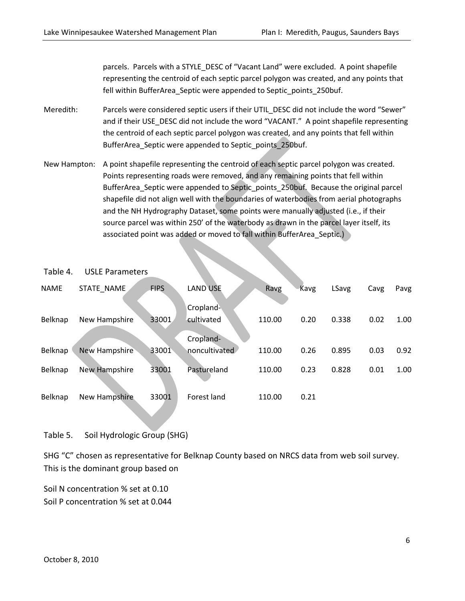parcels. Parcels with a STYLE\_DESC of "Vacant Land" were excluded. A point shapefile representing the centroid of each septic parcel polygon was created, and any points that fell within BufferArea\_Septic were appended to Septic\_points\_250buf.

- Meredith: Parcels were considered septic users if their UTIL DESC did not include the word "Sewer" and if their USE\_DESC did not include the word "VACANT." A point shapefile representing the centroid of each septic parcel polygon was created, and any points that fell within BufferArea\_Septic were appended to Septic\_points\_250buf.
- New Hampton: A point shapefile representing the centroid of each septic parcel polygon was created. Points representing roads were removed, and any remaining points that fell within BufferArea\_Septic were appended to Septic\_points\_250buf. Because the original parcel shapefile did not align well with the boundaries of waterbodies from aerial photographs and the NH Hydrography Dataset, some points were manually adjusted (i.e., if their source parcel was within 250' of the waterbody as drawn in the parcel layer itself, its associated point was added or moved to fall within BufferArea\_Septic.

| <b>NAME</b>    | STATE NAME    | <b>FIPS</b> | LAND USE                   | Ravg   | Kavg | LSavg | Cavg | Pavg |
|----------------|---------------|-------------|----------------------------|--------|------|-------|------|------|
| <b>Belknap</b> | New Hampshire | 33001       | Cropland<br>cultivated     | 110.00 | 0.20 | 0.338 | 0.02 | 1.00 |
| Belknap        | New Hampshire | 33001       | Cropland-<br>noncultivated | 110.00 | 0.26 | 0.895 | 0.03 | 0.92 |
| <b>Belknap</b> | New Hampshire | 33001       | Pastureland                | 110.00 | 0.23 | 0.828 | 0.01 | 1.00 |
| <b>Belknap</b> | New Hampshire | 33001       | Forest land                | 110.00 | 0.21 |       |      |      |

#### Table 4. USLE Parameters

## Table 5. Soil Hydrologic Group (SHG)

SHG "C" chosen as representative for Belknap County based on NRCS data from web soil survey. This is the dominant group based on

Soil N concentration % set at 0.10 Soil P concentration % set at 0.044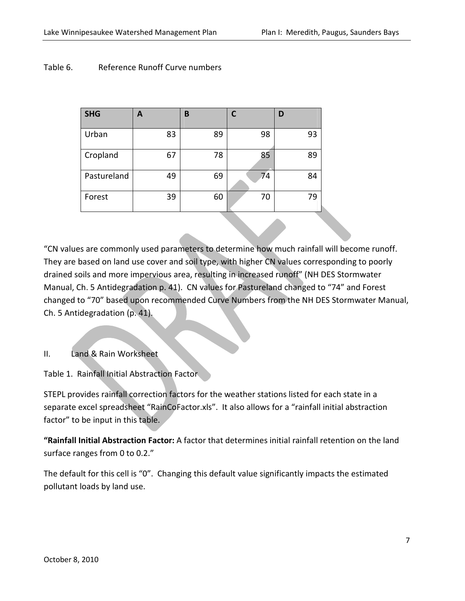## Table 6. Reference Runoff Curve numbers

| <b>SHG</b>  | A  | B  |    | D  |
|-------------|----|----|----|----|
| Urban       | 83 | 89 | 98 | 93 |
| Cropland    | 67 | 78 | 85 | 89 |
| Pastureland | 49 | 69 | 74 | 84 |
| Forest      | 39 | 60 | 70 | 79 |

"CN values are commonly used parameters to determine how much rainfall will become runoff. They are based on land use cover and soil type, with higher CN values corresponding to poorly drained soils and more impervious area, resulting in increased runoff" (NH DES Stormwater Manual, Ch. 5 Antidegradation p. 41). CN values for Pastureland changed to "74" and Forest changed to "70" based upon recommended Curve Numbers from the NH DES Stormwater Manual, Ch. 5 Antidegradation (p. 41).

## II. Land & Rain Worksheet

Table 1. Rainfall Initial Abstraction Factor

STEPL provides rainfall correction factors for the weather stations listed for each state in a separate excel spreadsheet "RainCoFactor.xls". It also allows for a "rainfall initial abstraction factor" to be input in this table.

"Rainfall Initial Abstraction Factor: A factor that determines initial rainfall retention on the land surface ranges from 0 to 0.2."

The default for this cell is "0". Changing this default value significantly impacts the estimated pollutant loads by land use.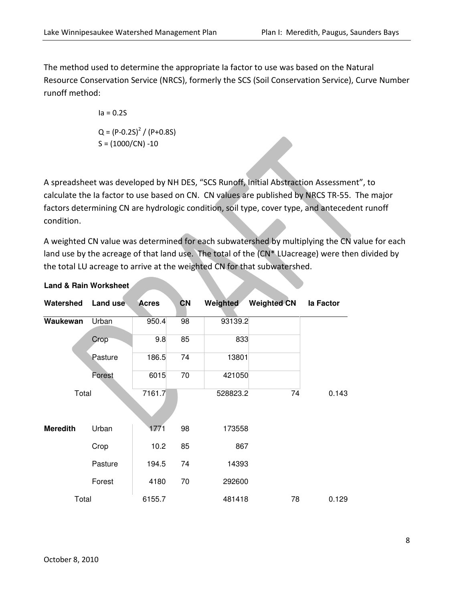The method used to determine the appropriate Ia factor to use was based on the Natural Resource Conservation Service (NRCS), formerly the SCS (Soil Conservation Service), Curve Number runoff method:

> $Ia = 0.2S$  $Q = (P - 0.2S)^2 / (P + 0.8S)$  $S = (1000/CN) - 10$

A spreadsheet was developed by NH DES, "SCS Runoff, Initial Abstraction Assessment", to calculate the Ia factor to use based on CN. CN values are published by NRCS TR-55. The major factors determining CN are hydrologic condition, soil type, cover type, and antecedent runoff condition.

A weighted CN value was determined for each subwatershed by multiplying the  $\overline{CN}$  value for each land use by the acreage of that land use. The total of the  $\overline{(CN^*LUacreage)}$  were then divided by the total LU acreage to arrive at the weighted CN for that subwatershed.

| Watershed       | Land use | <b>Acres</b> | <b>CN</b> | Weighted | <b>Weighted CN</b> | la Factor |
|-----------------|----------|--------------|-----------|----------|--------------------|-----------|
| Waukewan        | Urban    | 950.4        | 98        | 93139.2  |                    |           |
|                 | Crop     | 9.8          | 85        | 833      |                    |           |
|                 | Pasture  | 186.5        | 74        | 13801    |                    |           |
|                 | Forest   | 6015         | 70        | 421050   |                    |           |
| Total           |          | 7161.7       |           | 528823.2 | 74                 | 0.143     |
|                 |          |              |           |          |                    |           |
| <b>Meredith</b> | Urban    | 1771         | 98        | 173558   |                    |           |
|                 | Crop     | 10.2         | 85        | 867      |                    |           |
|                 | Pasture  | 194.5        | 74        | 14393    |                    |           |
|                 | Forest   | 4180         | 70        | 292600   |                    |           |
| Total           |          | 6155.7       |           | 481418   | 78                 | 0.129     |

**Land & Rain Worksheet**